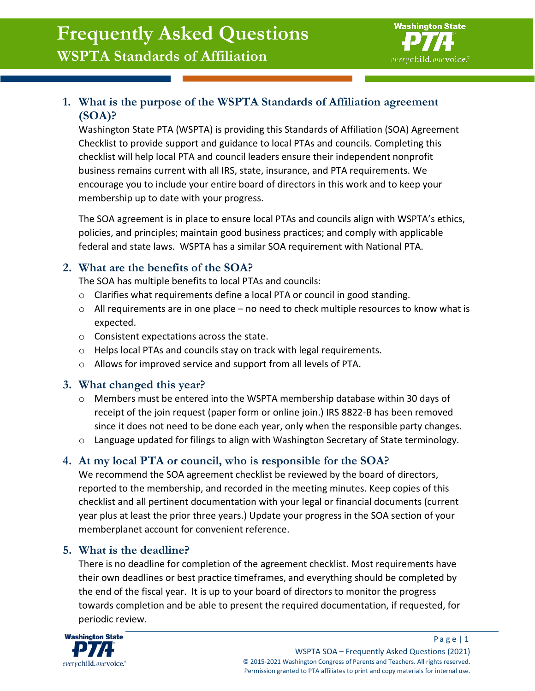

# **1. What is the purpose of the WSPTA Standards of Affiliation agreement (SOA)?**

Washington State PTA (WSPTA) is providing this Standards of Affiliation (SOA) Agreement Checklist to provide support and guidance to local PTAs and councils. Completing this checklist will help local PTA and council leaders ensure their independent nonprofit business remains current with all IRS, state, insurance, and PTA requirements. We encourage you to include your entire board of directors in this work and to keep your membership up to date with your progress.

The SOA agreement is in place to ensure local PTAs and councils align with WSPTA's ethics, policies, and principles; maintain good business practices; and comply with applicable federal and state laws. WSPTA has a similar SOA requirement with National PTA.

## **2. What are the benefits of the SOA?**

The SOA has multiple benefits to local PTAs and councils:

- o Clarifies what requirements define a local PTA or council in good standing.
- o All requirements are in one place no need to check multiple resources to know what is expected.
- o Consistent expectations across the state.
- o Helps local PTAs and councils stay on track with legal requirements.
- o Allows for improved service and support from all levels of PTA.

## **3. What changed this year?**

- $\circ$  Members must be entered into the WSPTA membership database within 30 days of receipt of the join request (paper form or online join.) IRS 8822-B has been removed since it does not need to be done each year, only when the responsible party changes.
- o Language updated for filings to align with Washington Secretary of State terminology.

# **4. At my local PTA or council, who is responsible for the SOA?**

We recommend the SOA agreement checklist be reviewed by the board of directors, reported to the membership, and recorded in the meeting minutes. Keep copies of this checklist and all pertinent documentation with your legal or financial documents (current year plus at least the prior three years.) Update your progress in the SOA section of your memberplanet account for convenient reference.

## **5. What is the deadline?**

There is no deadline for completion of the agreement checklist. Most requirements have their own deadlines or best practice timeframes, and everything should be completed by the end of the fiscal year. It is up to your board of directors to monitor the progress towards completion and be able to present the required documentation, if requested, for periodic review.

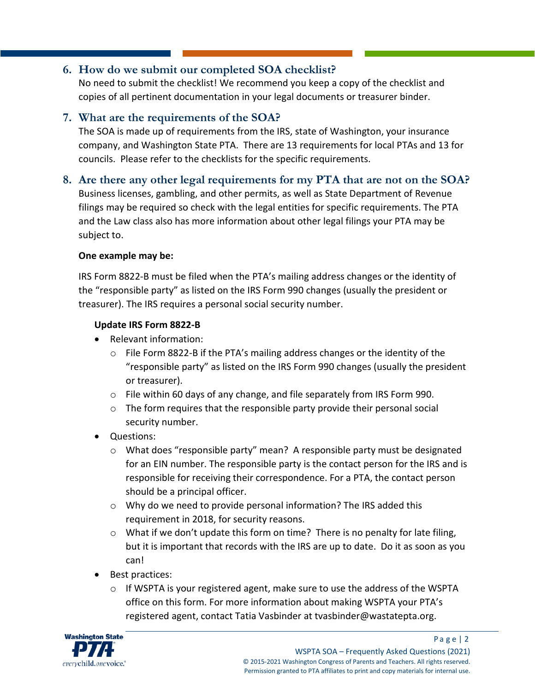## **6. How do we submit our completed SOA checklist?**

No need to submit the checklist! We recommend you keep a copy of the checklist and copies of all pertinent documentation in your legal documents or treasurer binder.

### **7. What are the requirements of the SOA?**

The SOA is made up of requirements from the IRS, state of Washington, your insurance company, and Washington State PTA. There are 13 requirements for local PTAs and 13 for councils. Please refer to the checklists for the specific requirements.

**8. Are there any other legal requirements for my PTA that are not on the SOA?** Business licenses, gambling, and other permits, as well as State Department of Revenue filings may be required so check with the legal entities for specific requirements. The PTA and the Law class also has more information about other legal filings your PTA may be subject to.

#### **One example may be:**

IRS Form 8822-B must be filed when the PTA's mailing address changes or the identity of the "responsible party" as listed on the IRS Form 990 changes (usually the president or treasurer). The IRS requires a personal social security number.

#### **Update IRS Form 8822-B**

- Relevant information:
	- $\circ$  File Form 8822-B if the PTA's mailing address changes or the identity of the "responsible party" as listed on the IRS Form 990 changes (usually the president or treasurer).
	- o File within 60 days of any change, and file separately from IRS Form 990.
	- $\circ$  The form requires that the responsible party provide their personal social security number.
- Questions:
	- o What does "responsible party" mean? A responsible party must be designated for an EIN number. The responsible party is the contact person for the IRS and is responsible for receiving their correspondence. For a PTA, the contact person should be a principal officer.
	- o Why do we need to provide personal information? The IRS added this requirement in 2018, for security reasons.
	- o What if we don't update this form on time? There is no penalty for late filing, but it is important that records with the IRS are up to date. Do it as soon as you can!
- Best practices:
	- $\circ$  If WSPTA is your registered agent, make sure to use the address of the WSPTA office on this form. For more information about making WSPTA your PTA's registered agent, contact Tatia Vasbinder at tvasbinder@wastatepta.org.



Page  $|2|$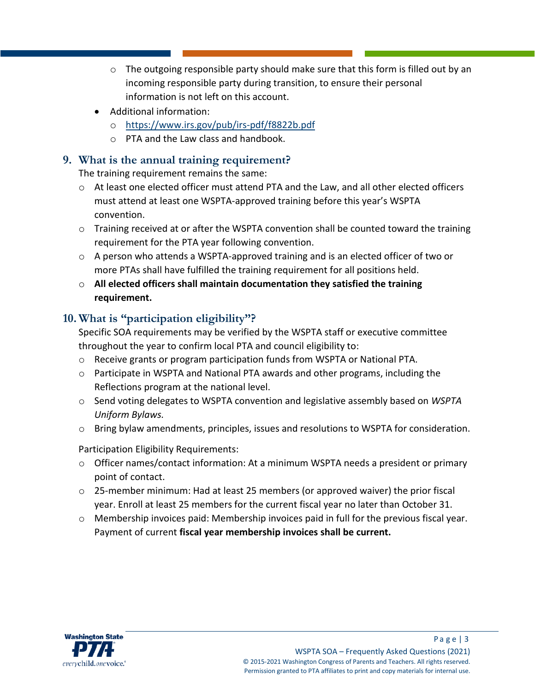- $\circ$  The outgoing responsible party should make sure that this form is filled out by an incoming responsible party during transition, to ensure their personal information is not left on this account.
- Additional information:
	- o <https://www.irs.gov/pub/irs-pdf/f8822b.pdf>
	- o PTA and the Law class and handbook.

### **9. What is the annual training requirement?**

The training requirement remains the same:

- o At least one elected officer must attend PTA and the Law, and all other elected officers must attend at least one WSPTA-approved training before this year's WSPTA convention.
- o Training received at or after the WSPTA convention shall be counted toward the training requirement for the PTA year following convention.
- o A person who attends a WSPTA-approved training and is an elected officer of two or more PTAs shall have fulfilled the training requirement for all positions held.
- o **All elected officers shall maintain documentation they satisfied the training requirement.**

# **10. What is "participation eligibility"?**

Specific SOA requirements may be verified by the WSPTA staff or executive committee throughout the year to confirm local PTA and council eligibility to:

- o Receive grants or program participation funds from WSPTA or National PTA.
- o Participate in WSPTA and National PTA awards and other programs, including the Reflections program at the national level.
- o Send voting delegates to WSPTA convention and legislative assembly based on *WSPTA Uniform Bylaws.*
- $\circ$  Bring bylaw amendments, principles, issues and resolutions to WSPTA for consideration.

Participation Eligibility Requirements:

- $\circ$  Officer names/contact information: At a minimum WSPTA needs a president or primary point of contact.
- $\circ$  25-member minimum: Had at least 25 members (or approved waiver) the prior fiscal year. Enroll at least 25 members for the current fiscal year no later than October 31.
- o Membership invoices paid: Membership invoices paid in full for the previous fiscal year. Payment of current **fiscal year membership invoices shall be current.**